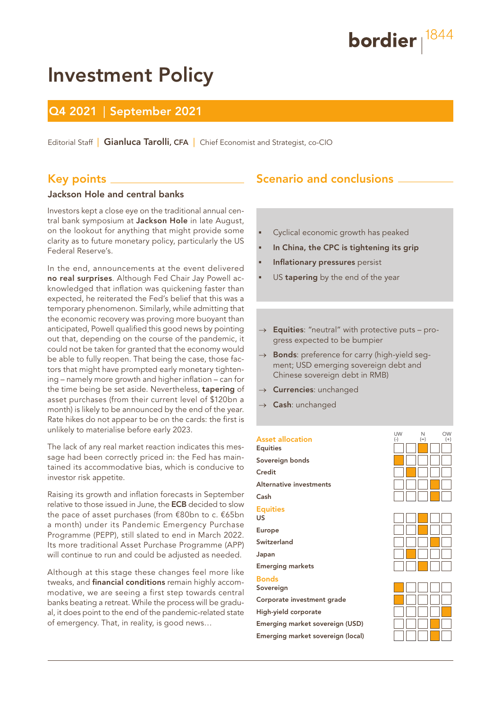# Investment Policy

# Q4 2021 | September 2021

Editorial Staff | Gianluca Tarolli, CFA | Chief Economist and Strategist, co-CIO

# Key points

## Jackson Hole and central banks

Investors kept a close eye on the traditional annual central bank symposium at Jackson Hole in late August, on the lookout for anything that might provide some clarity as to future monetary policy, particularly the US Federal Reserve's.

In the end, announcements at the event delivered no real surprises. Although Fed Chair Jay Powell acknowledged that inflation was quickening faster than expected, he reiterated the Fed's belief that this was a temporary phenomenon. Similarly, while admitting that the economic recovery was proving more buoyant than anticipated, Powell qualified this good news by pointing out that, depending on the course of the pandemic, it could not be taken for granted that the economy would be able to fully reopen. That being the case, those factors that might have prompted early monetary tightening – namely more growth and higher inflation – can for the time being be set aside. Nevertheless, tapering of asset purchases (from their current level of \$120bn a month) is likely to be announced by the end of the year. Rate hikes do not appear to be on the cards: the first is unlikely to materialise before early 2023.

The lack of any real market reaction indicates this message had been correctly priced in: the Fed has maintained its accommodative bias, which is conducive to investor risk appetite.

Raising its growth and inflation forecasts in September relative to those issued in June, the ECB decided to slow the pace of asset purchases (from €80bn to c. €65bn a month) under its Pandemic Emergency Purchase Programme (PEPP), still slated to end in March 2022. Its more traditional Asset Purchase Programme (APP) will continue to run and could be adjusted as needed.

Although at this stage these changes feel more like tweaks, and financial conditions remain highly accommodative, we are seeing a first step towards central banks beating a retreat. While the process will be gradual, it does point to the end of the pandemic-related state of emergency. That, in reality, is good news…

# Scenario and conclusions

- Cyclical economic growth has peaked
- In China, the CPC is tightening its grip
- Inflationary pressures persist
- US tapering by the end of the year

### Equities: "neutral" with protective puts – progress expected to be bumpier

- $\rightarrow$  Bonds: preference for carry (high-yield segment; USD emerging sovereign debt and Chinese sovereign debt in RMB)
- $\rightarrow$  Currencies: unchanged
- Cash: unchanged

### **Asset allocation**

Equities Sovereign bonds Credit Alternative investments Cash

### **Equities**

 $\overline{115}$ 

Europe Switzerland

Japan

Emerging markets

## Bonds

Sovereign Corporate investment grade High-yield corporate Emerging market sovereign (USD) Emerging market sovereign (local)



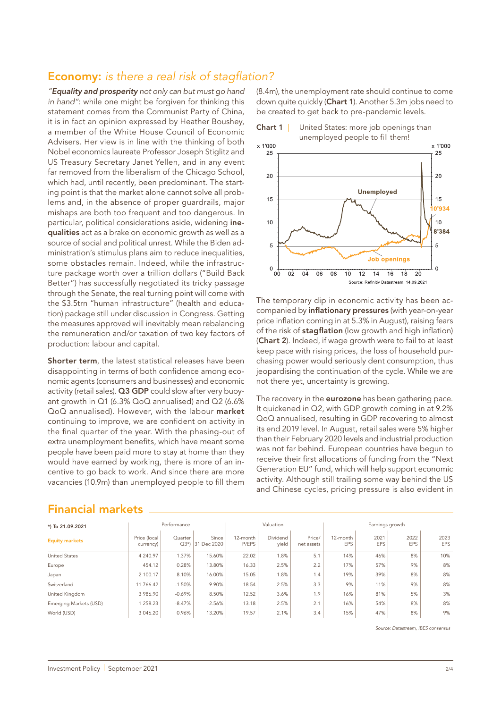### tion) package still under discussion in Congress. Getting the measures approved will inevitably mean rebalancing

production: labour and capital. Shorter term, the latest statistical releases have been disappointing in terms of both confidence among economic agents (consumers and businesses) and economic activity (retail sales). Q3 GDP could slow after very buoyant growth in Q1 (6.3% QoQ annualised) and Q2 (6.6% QoQ annualised). However, with the labour market continuing to improve, we are confident on activity in the final quarter of the year. With the phasing-out of extra unemployment benefits, which have meant some people have been paid more to stay at home than they would have earned by working, there is more of an incentive to go back to work. And since there are more vacancies (10.9m) than unemployed people to fill them

the remuneration and/or taxation of two key factors of

Economy: *is there a real risk of stagflation?*

*"Equality and prosperity not only can but must go hand*  in hand": while one might be forgiven for thinking this statement comes from the Communist Party of China,

Advisers. Her view is in line with the thinking of both Nobel economics laureate Professor Joseph Stiglitz and US Treasury Secretary Janet Yellen, and in any event far removed from the liberalism of the Chicago School, which had, until recently, been predominant. The starting point is that the market alone cannot solve all problems and, in the absence of proper guardrails, major mishaps are both too frequent and too dangerous. In particular, political considerations aside, widening inequalities act as a brake on economic growth as well as a source of social and political unrest. While the Biden administration's stimulus plans aim to reduce inequalities, some obstacles remain. Indeed, while the infrastructure package worth over a trillion dollars ("Build Back Better") has successfully negotiated its tricky passage through the Senate, the real turning point will come with the \$3.5trn "human infrastructure" (health and educa(8.4m), the unemployment rate should continue to come down quite quickly (Chart 1). Another 5.3m jobs need to be created to get back to pre-pandemic levels.



The temporary dip in economic activity has been accompanied by inflationary pressures (with year-on-year price inflation coming in at 5.3% in August), raising fears of the risk of stagflation (low growth and high inflation) (Chart 2). Indeed, if wage growth were to fail to at least keep pace with rising prices, the loss of household purchasing power would seriously dent consumption, thus jeopardising the continuation of the cycle. While we are not there yet, uncertainty is growing.

The recovery in the **eurozone** has been gathering pace. It quickened in Q2, with GDP growth coming in at 9.2% QoQ annualised, resulting in GDP recovering to almost its end 2019 level. In August, retail sales were 5% higher than their February 2020 levels and industrial production was not far behind. European countries have begun to receive their first allocations of funding from the "Next Generation EU" fund, which will help support economic activity. Although still trailing some way behind the US and Chinese cycles, pricing pressure is also evident in

| *) To 21.09.2021       | Performance               |                   |                      | Valuation         |                   |                      | Earnings growth        |             |             |             |
|------------------------|---------------------------|-------------------|----------------------|-------------------|-------------------|----------------------|------------------------|-------------|-------------|-------------|
| <b>Equity markets</b>  | Price (local<br>currency) | Quarter<br>$Q3^*$ | Since<br>31 Dec 2020 | 12-month<br>P/EPS | Dividend<br>yield | Price/<br>net assets | 12-month<br><b>EPS</b> | 2021<br>EPS | 2022<br>EPS | 2023<br>EPS |
| <b>United States</b>   | 4 240.97                  | 1.37%             | 15.60%               | 22.02             | 1.8%              | 5.1                  | 14%                    | 46%         | 8%          | 10%         |
| Europe                 | 454.12                    | 0.28%             | 13.80%               | 16.33             | 2.5%              | 2.2                  | 17%                    | 57%         | 9%          | 8%          |
| Japan                  | 2 100.17                  | 8.10%             | 16.00%               | 15.05             | 1.8%              | 1.4                  | 19%                    | 39%         | 8%          | 8%          |
| Switzerland            | 11766.42                  | $-1.50%$          | 9.90%                | 18.54             | 2.5%              | 3.3                  | 9%                     | 11%         | 9%          | 8%          |
| United Kingdom         | 3 986.90                  | $-0.69%$          | 8.50%                | 12.52             | 3.6%              | 1.9                  | 16%                    | 81%         | 5%          | 3%          |
| Emerging Markets (USD) | 258.23                    | $-8.47%$          | $-2.56%$             | 13.18             | 2.5%              | 2.1                  | 16%                    | 54%         | 8%          | 8%          |
| World (USD)            | 3 046.20                  | 0.96%             | 13.20%               | 19.57             | 2.1%              | 3.4                  | 15%                    | 47%         | 8%          | 9%          |

## Financial markets

*Source: Datastream, IBES consensus*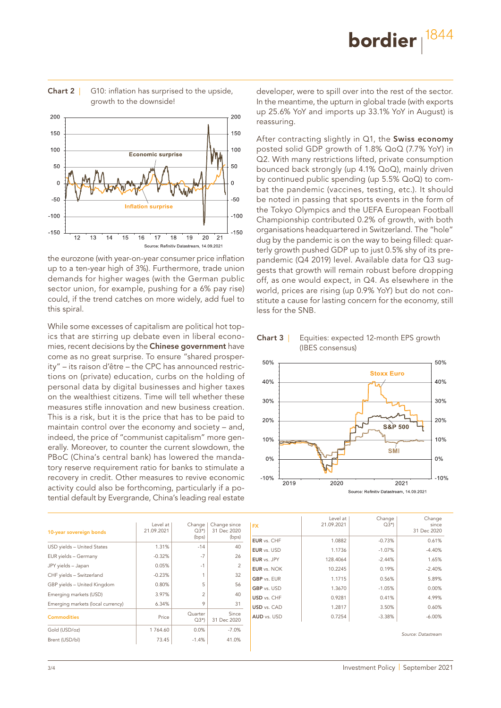



the eurozone (with year-on-year consumer price inflation up to a ten-year high of 3%). Furthermore, trade union demands for higher wages (with the German public sector union, for example, pushing for a 6% pay rise) could, if the trend catches on more widely, add fuel to this spiral.

While some excesses of capitalism are political hot topics that are stirring up debate even in liberal economies, recent decisions by the Chinese government have come as no great surprise. To ensure "shared prosperity" – its raison d'être – the CPC has announced restrictions on (private) education, curbs on the holding of personal data by digital businesses and higher taxes on the wealthiest citizens. Time will tell whether these measures stifle innovation and new business creation. This is a risk, but it is the price that has to be paid to maintain control over the economy and society – and, indeed, the price of "communist capitalism" more generally. Moreover, to counter the current slowdown, the PBoC (China's central bank) has lowered the mandatory reserve requirement ratio for banks to stimulate a recovery in credit. Other measures to revive economic activity could also be forthcoming, particularly if a potential default by Evergrande, China's leading real estate

developer, were to spill over into the rest of the sector. In the meantime, the upturn in global trade (with exports up 25.6% YoY and imports up 33.1% YoY in August) is reassuring.

After contracting slightly in Q1, the Swiss economy posted solid GDP growth of 1.8% QoQ (7.7% YoY) in Q2. With many restrictions lifted, private consumption bounced back strongly (up 4.1% QoQ), mainly driven by continued public spending (up 5.5% QoQ) to combat the pandemic (vaccines, testing, etc.). It should be noted in passing that sports events in the form of the Tokyo Olympics and the UEFA European Football Championship contributed 0.2% of growth, with both organisations headquartered in Switzerland. The "hole" dug by the pandemic is on the way to being filled: quarterly growth pushed GDP up to just 0.5% shy of its prepandemic (Q4 2019) level. Available data for Q3 suggests that growth will remain robust before dropping off, as one would expect, in Q4. As elsewhere in the world, prices are rising (up 0.9% YoY) but do not constitute a cause for lasting concern for the economy, still less for the SNB.





| 10-year sovereign bonds           | Level at<br>21.09.2021 | Change<br>$Q3*$   | Change since<br>31 Dec 2020 | <b>FX</b>          | Level at<br>21.09.2021 | Change<br>$Q3^*$ | Change<br>since<br>31 Dec 2020 |
|-----------------------------------|------------------------|-------------------|-----------------------------|--------------------|------------------------|------------------|--------------------------------|
|                                   |                        | (bps)             | (bps)                       | EUR vs. CHF        | 1.0882                 | $-0.73%$         | 0.61%                          |
| USD yields - United States        | 1.31%                  | $-14$             | 40                          | <b>EUR</b> vs. USD | 1.1736                 | $-1.07%$         | $-4.40%$                       |
| EUR yields - Germany              | $-0.32%$               | $-7$              | 26                          | <b>EUR</b> vs. JPY | 128,4064               | $-2.44%$         | 1.65%                          |
| JPY yields - Japan                | 0.05%                  | ÷                 | 2                           | <b>EUR</b> vs. NOK | 10.2245                | 0.19%            | $-2.40%$                       |
| CHF yields - Switzerland          | $-0.23%$               |                   | 32                          | <b>GBP</b> vs. EUR | 1.1715                 | 0.56%            | 5.89%                          |
| GBP yields - United Kingdom       | 0.80%                  | 5                 | 56                          | <b>GBP</b> vs. USD | 1.3670                 | $-1.05%$         | 0.00%                          |
| Emerging markets (USD)            | 3.97%                  | $\overline{c}$    | 40                          | USD vs. CHF        | 0.9281                 | 0.41%            | 4.99%                          |
| Emerging markets (local currency) | 6.34%                  | 9                 | 31                          | <b>USD</b> vs. CAD | 1.2817                 | 3.50%            | 0.60%                          |
| <b>Commodities</b>                | Price                  | Quarter<br>$Q3^*$ | Since<br>31 Dec 2020        | <b>AUD</b> vs. USD | 0.7254                 | $-3.38%$         | $-6.00\%$                      |
| Gold (USD/oz)                     | 1764.60                | 0.0%              | $-7.0%$                     |                    |                        |                  |                                |
| Brent (USD/bl)                    | 73.45                  | $-1.4%$           | 41.0%                       |                    |                        |                  | Source: Datastream             |